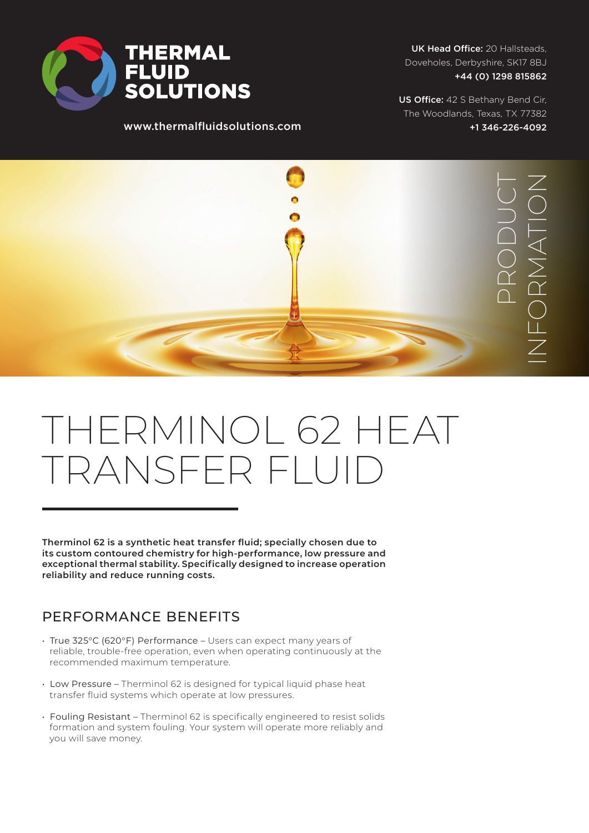

www.thermalfluidsolutions.com

UK Head Office: 20 Hallsteads, Doveholes, Derbyshire, SK17 8BJ +44 (0) 1298 815862

US Office: 42 S Bethany Bend Cir, The Woodlands, Texas, TX 77382 +1 346-226-4092



# THERMINOL 62 HEAT TRANSFER FLUI

**Therminol 62 is a synthetic heat transfer fluid; specially chosen due to its custom contoured chemistry for high-performance, low pressure and exceptional thermal stability. Specifically designed to increase operation reliability and reduce running costs.**

### PERFORMANCE BENEFITS

- True 325°C (620°F) Performance Users can expect many years of reliable, trouble-free operation, even when operating continuously at the recommended maximum temperature.
- Low Pressure Therminol 62 is designed for typical liquid phase heat transfer fluid systems which operate at low pressures.
- Fouling Resistant Therminol 62 is specifically engineered to resist solids formation and system fouling. Your system will operate more reliably and you will save money.